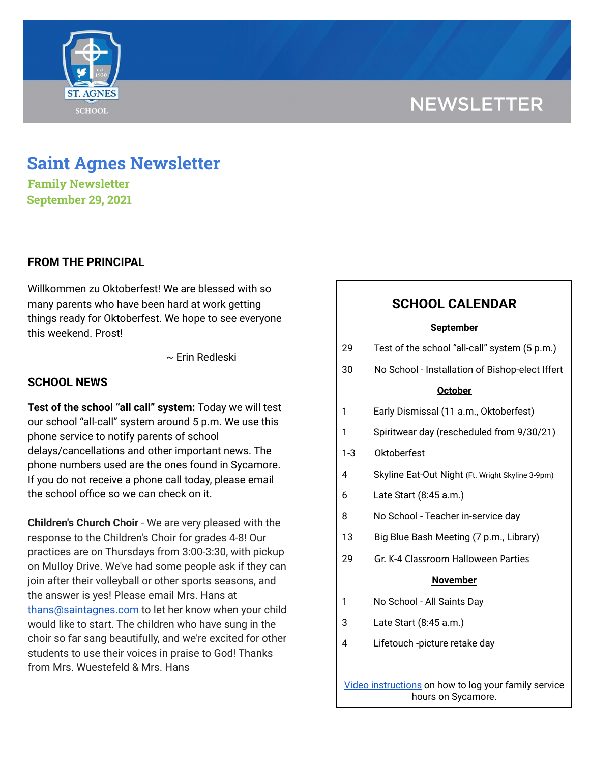# **NEWSLETTER**



# **Saint Agnes Newsletter**

**Family Newsletter September 29, 2021**

## **FROM THE PRINCIPAL**

Willkommen zu Oktoberfest! We are blessed with so many parents who have been hard at work getting things ready for Oktoberfest. We hope to see everyone this weekend. Prost!

~ Erin Redleski

### **SCHOOL NEWS**

**Test of the school "all call" system:** Today we will test our school "all-call" system around 5 p.m. We use this phone service to notify parents of school delays/cancellations and other important news. The phone numbers used are the ones found in Sycamore. If you do not receive a phone call today, please email the school office so we can check on it.

**Children's Church Choir** - We are very pleased with the response to the Children's Choir for grades 4-8! Our practices are on Thursdays from 3:00-3:30, with pickup on Mulloy Drive. We've had some people ask if they can join after their volleyball or other sports seasons, and the answer is yes! Please email Mrs. Hans at thans@saintagnes.com to let her know when your child would like to start. The children who have sung in the choir so far sang beautifully, and we're excited for other students to use their voices in praise to God! Thanks from Mrs. Wuestefeld & Mrs. Hans

# **SCHOOL CALENDAR**

#### **September**

| 29                                                                         | Test of the school "all-call" system (5 p.m.)    |
|----------------------------------------------------------------------------|--------------------------------------------------|
| 30                                                                         | No School - Installation of Bishop-elect Iffert  |
| <b>October</b>                                                             |                                                  |
| 1                                                                          | Early Dismissal (11 a.m., Oktoberfest)           |
| 1                                                                          | Spiritwear day (rescheduled from 9/30/21)        |
| $1-3$                                                                      | Oktoberfest                                      |
| 4                                                                          | Skyline Eat-Out Night (Ft. Wright Skyline 3-9pm) |
| 6                                                                          | Late Start (8:45 a.m.)                           |
| 8                                                                          | No School - Teacher in-service day               |
| 13                                                                         | Big Blue Bash Meeting (7 p.m., Library)          |
| 29                                                                         | Gr. K-4 Classroom Halloween Parties              |
| <b>November</b>                                                            |                                                  |
| 1                                                                          | No School - All Saints Day                       |
| 3                                                                          | Late Start (8:45 a.m.)                           |
| 4                                                                          | Lifetouch -picture retake day                    |
|                                                                            |                                                  |
| Video instructions on how to log your family service<br>hours on Sycamore. |                                                  |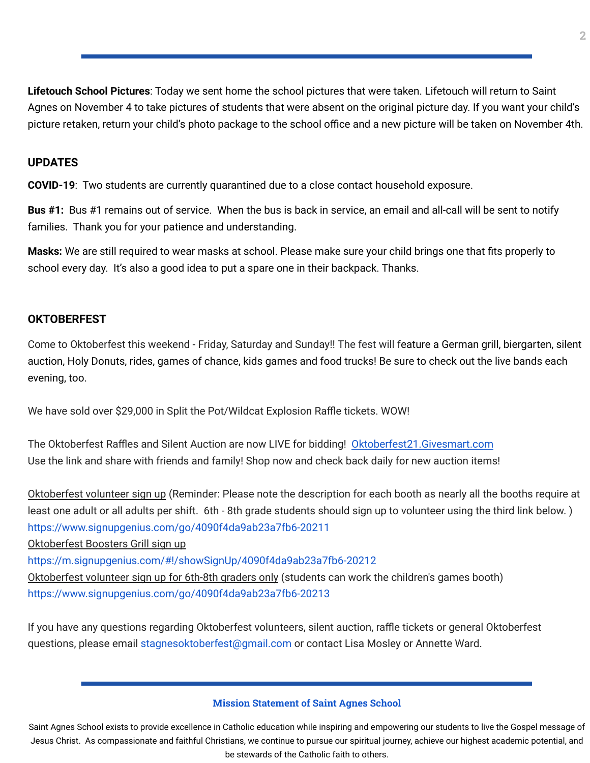**Lifetouch School Pictures**: Today we sent home the school pictures that were taken. Lifetouch will return to Saint Agnes on November 4 to take pictures of students that were absent on the original picture day. If you want your child's picture retaken, return your child's photo package to the school office and a new picture will be taken on November 4th.

### **UPDATES**

**COVID-19**: Two students are currently quarantined due to a close contact household exposure.

**Bus #1:** Bus #1 remains out of service. When the bus is back in service, an email and all-call will be sent to notify families. Thank you for your patience and understanding.

**Masks:** We are still required to wear masks at school. Please make sure your child brings one that fits properly to school every day. It's also a good idea to put a spare one in their backpack. Thanks.

#### **OKTOBERFEST**

Come to Oktoberfest this weekend - Friday, Saturday and Sunday!! The fest will feature a German grill, biergarten, silent auction, Holy Donuts, rides, games of chance, kids games and food trucks! Be sure to check out the live bands each evening, too.

We have sold over \$29,000 in Split the Pot/Wildcat Explosion Raffle tickets. WOW!

The Oktoberfest Raffles and Silent Auction are now LIVE for bidding! [Oktoberfest21.Givesmart.com](http://oktoberfest21.givesmart.com/) Use the link and share with friends and family! Shop now and check back daily for new auction items!

Oktoberfest volunteer sign up (Reminder: Please note the description for each booth as nearly all the booths require at least one adult or all adults per shift. 6th - 8th grade students should sign up to volunteer using the third link below. ) <https://www.signupgenius.com/go/4090f4da9ab23a7fb6-20211>

Oktoberfest Boosters Grill sign up

<https://m.signupgenius.com/#!/showSignUp/4090f4da9ab23a7fb6-20212>

Oktoberfest volunteer sign up for 6th-8th graders only (students can work the children's games booth) <https://www.signupgenius.com/go/4090f4da9ab23a7fb6-20213>

If you have any questions regarding Oktoberfest volunteers, silent auction, raffle tickets or general Oktoberfest questions, please email stagnesoktoberfest@gmail.com or contact Lisa Mosley or Annette Ward.

#### **Mission Statement of Saint Agnes School**

Saint Agnes School exists to provide excellence in Catholic education while inspiring and empowering our students to live the Gospel message of Jesus Christ. As compassionate and faithful Christians, we continue to pursue our spiritual journey, achieve our highest academic potential, and be stewards of the Catholic faith to others.